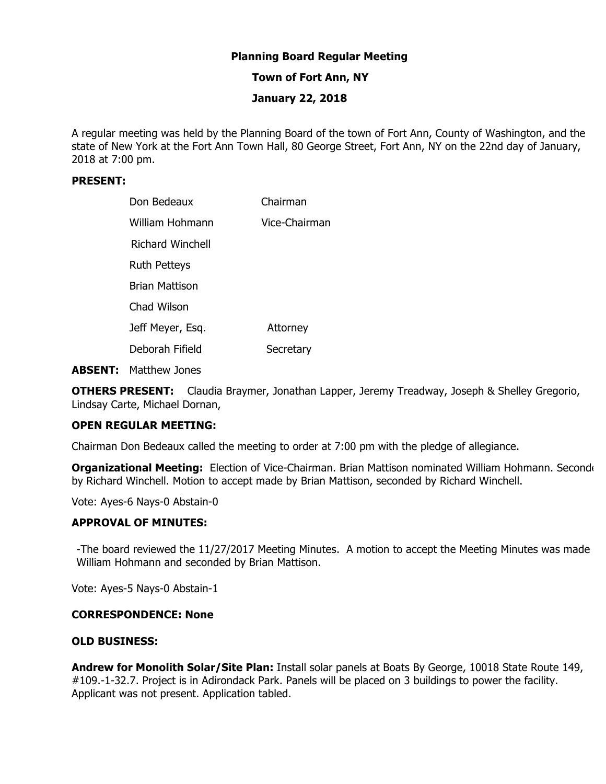# **Planning Board Regular Meeting**

# **Town of Fort Ann, NY**

# **January 22, 2018**

A regular meeting was held by the Planning Board of the town of Fort Ann, County of Washington, and the state of New York at the Fort Ann Town Hall, 80 George Street, Fort Ann, NY on the 22nd day of January, 2018 at 7:00 pm.

# **PRESENT:**

| Don Bedeaux             | Chairman      |
|-------------------------|---------------|
| William Hohmann         | Vice-Chairman |
| <b>Richard Winchell</b> |               |
| <b>Ruth Petteys</b>     |               |
| <b>Brian Mattison</b>   |               |
| Chad Wilson             |               |
| Jeff Meyer, Esq.        | Attorney      |
| Deborah Fifield         | Secretary     |

**ABSENT:** Matthew Jones

**OTHERS PRESENT:** Claudia Braymer, Jonathan Lapper, Jeremy Treadway, Joseph & Shelley Gregorio, Lindsay Carte, Michael Dornan,

# **OPEN REGULAR MEETING:**

Chairman Don Bedeaux called the meeting to order at 7:00 pm with the pledge of allegiance.

Organizational Meeting: Election of Vice-Chairman. Brian Mattison nominated William Hohmann. Seconde by Richard Winchell. Motion to accept made by Brian Mattison, seconded by Richard Winchell.

Vote: Ayes-6 Nays-0 Abstain-0

# **APPROVAL OF MINUTES:**

-The board reviewed the 11/27/2017 Meeting Minutes. A motion to accept the Meeting Minutes was made William Hohmann and seconded by Brian Mattison.

Vote: Ayes-5 Nays-0 Abstain-1

#### **CORRESPONDENCE: None**

# **OLD BUSINESS:**

**Andrew for Monolith Solar/Site Plan:** Install solar panels at Boats By George, 10018 State Route 149, #109.-1-32.7. Project is in Adirondack Park. Panels will be placed on 3 buildings to power the facility. Applicant was not present. Application tabled.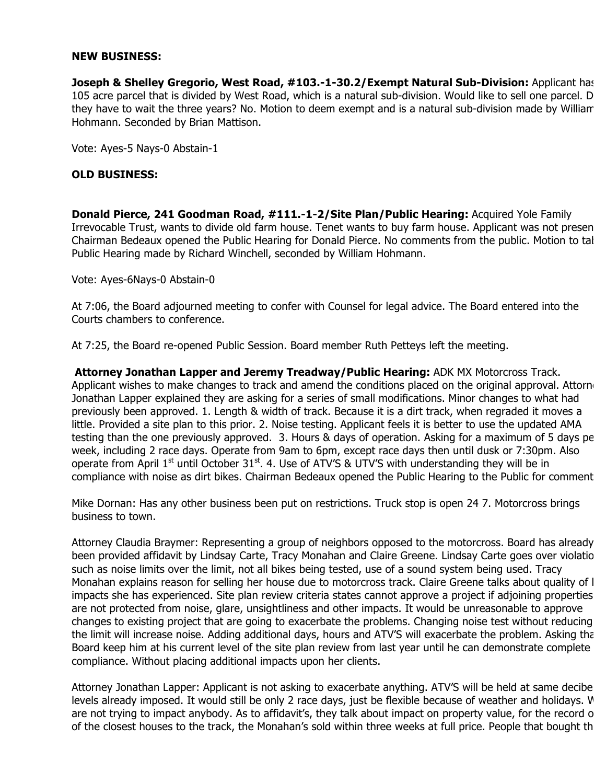## **NEW BUSINESS:**

**Joseph & Shelley Gregorio, West Road, #103.-1-30.2/Exempt Natural Sub-Division:** Applicant has 105 acre parcel that is divided by West Road, which is a natural sub-division. Would like to sell one parcel. D they have to wait the three years? No. Motion to deem exempt and is a natural sub-division made by William Hohmann. Seconded by Brian Mattison.

Vote: Ayes-5 Nays-0 Abstain-1

# **OLD BUSINESS:**

**Donald Pierce, 241 Goodman Road, #111.-1-2/Site Plan/Public Hearing:** Acquired Yole Family Irrevocable Trust, wants to divide old farm house. Tenet wants to buy farm house. Applicant was not presen Chairman Bedeaux opened the Public Hearing for Donald Pierce. No comments from the public. Motion to tal Public Hearing made by Richard Winchell, seconded by William Hohmann.

Vote: Ayes-6Nays-0 Abstain-0

At 7:06, the Board adjourned meeting to confer with Counsel for legal advice. The Board entered into the Courts chambers to conference.

At 7:25, the Board re-opened Public Session. Board member Ruth Petteys left the meeting.

**Attorney Jonathan Lapper and Jeremy Treadway/Public Hearing:** ADK MX Motorcross Track. Applicant wishes to make changes to track and amend the conditions placed on the original approval. Attorne Jonathan Lapper explained they are asking for a series of small modifications. Minor changes to what had previously been approved. 1. Length & width of track. Because it is a dirt track, when regraded it moves a little. Provided a site plan to this prior. 2. Noise testing. Applicant feels it is better to use the updated AMA testing than the one previously approved. 3. Hours & days of operation. Asking for a maximum of 5 days pe week, including 2 race days. Operate from 9am to 6pm, except race days then until dusk or 7:30pm. Also operate from April 1<sup>st</sup> until October 31<sup>st</sup>. 4. Use of ATV'S & UTV'S with understanding they will be in compliance with noise as dirt bikes. Chairman Bedeaux opened the Public Hearing to the Public for comment.

Mike Dornan: Has any other business been put on restrictions. Truck stop is open 24 7. Motorcross brings business to town.

Attorney Claudia Braymer: Representing a group of neighbors opposed to the motorcross. Board has already been provided affidavit by Lindsay Carte, Tracy Monahan and Claire Greene. Lindsay Carte goes over violatio such as noise limits over the limit, not all bikes being tested, use of a sound system being used. Tracy Monahan explains reason for selling her house due to motorcross track. Claire Greene talks about quality of li impacts she has experienced. Site plan review criteria states cannot approve a project if adjoining properties are not protected from noise, glare, unsightliness and other impacts. It would be unreasonable to approve changes to existing project that are going to exacerbate the problems. Changing noise test without reducing the limit will increase noise. Adding additional days, hours and ATV'S will exacerbate the problem. Asking that Board keep him at his current level of the site plan review from last year until he can demonstrate complete compliance. Without placing additional impacts upon her clients.

Attorney Jonathan Lapper: Applicant is not asking to exacerbate anything. ATV'S will be held at same decibel levels already imposed. It would still be only 2 race days, just be flexible because of weather and holidays. V are not trying to impact anybody. As to affidavit's, they talk about impact on property value, for the record o of the closest houses to the track, the Monahan's sold within three weeks at full price. People that bought th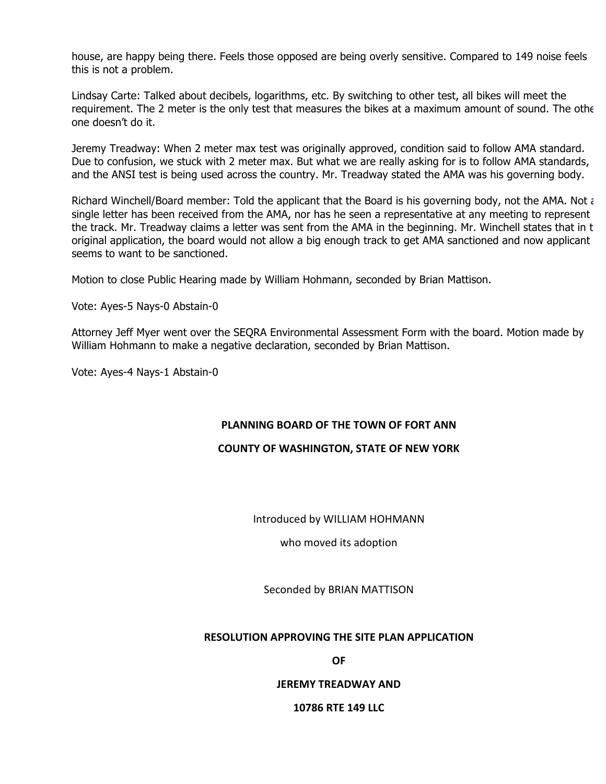house, are happy being there. Feels those opposed are being overly sensitive. Compared to 149 noise feels this is not a problem.

Lindsay Carte: Talked about decibels, logarithms, etc. By switching to other test, all bikes will meet the requirement. The 2 meter is the only test that measures the bikes at a maximum amount of sound. The other one doesn't do it.

Jeremy Treadway: When 2 meter max test was originally approved, condition said to follow AMA standard. Due to confusion, we stuck with 2 meter max. But what we are really asking for is to follow AMA standards, and the ANSI test is being used across the country. Mr. Treadway stated the AMA was his governing body.

Richard Winchell/Board member: Told the applicant that the Board is his governing body, not the AMA. Not a single letter has been received from the AMA, nor has he seen a representative at any meeting to represent the track. Mr. Treadway claims a letter was sent from the AMA in the beginning. Mr. Winchell states that in t original application, the board would not allow a big enough track to get AMA sanctioned and now applicant seems to want to be sanctioned.

Motion to close Public Hearing made by William Hohmann, seconded by Brian Mattison.

Vote: Ayes-5 Nays-0 Abstain-0

Attorney Jeff Myer went over the SEQRA Environmental Assessment Form with the board. Motion made by William Hohmann to make a negative declaration, seconded by Brian Mattison.

Vote: Ayes-4 Nays-1 Abstain-0

# **PLANNING BOARD OF THE TOWN OF FORT ANN**

# **COUNTY OF WASHINGTON, STATE OF NEW YORK**

# Introduced by WILLIAM HOHMANN

who moved its adoption

Seconded by BRIAN MATTISON

#### **RESOLUTION APPROVING THE SITE PLAN APPLICATION**

**OF**

#### **JEREMY TREADWAY AND**

#### **10786 RTE 149 LLC**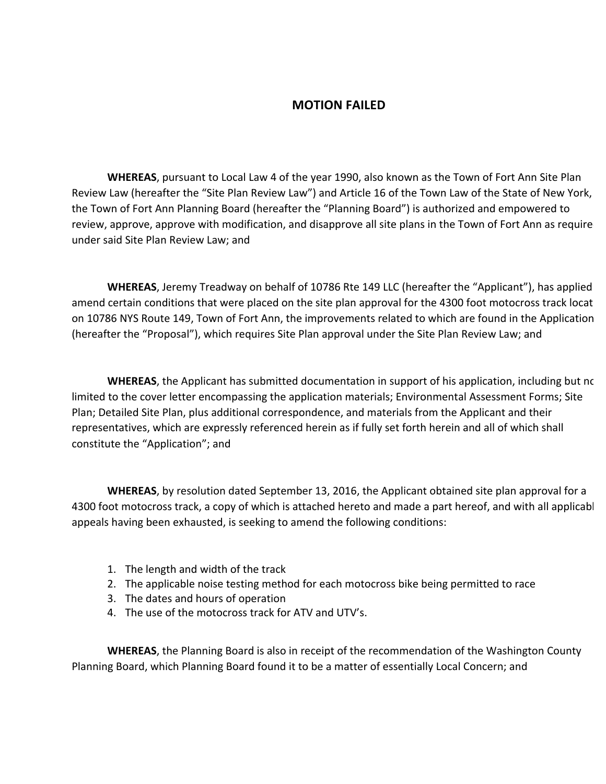# **MOTION FAILED**

**WHEREAS**, pursuant to Local Law 4 of the year 1990, also known as the Town of Fort Ann Site Plan Review Law (hereafter the "Site Plan Review Law") and Article 16 of the Town Law of the State of New York, the Town of Fort Ann Planning Board (hereafter the "Planning Board") is authorized and empowered to review, approve, approve with modification, and disapprove all site plans in the Town of Fort Ann as require under said Site Plan Review Law; and

**WHEREAS**, Jeremy Treadway on behalf of 10786 Rte 149 LLC (hereafter the "Applicant"), has applied amend certain conditions that were placed on the site plan approval for the 4300 foot motocross track locat on 10786 NYS Route 149, Town of Fort Ann, the improvements related to which are found in the Application (hereafter the "Proposal"), which requires Site Plan approval under the Site Plan Review Law; and

**WHEREAS**, the Applicant has submitted documentation in support of his application, including but no limited to the cover letter encompassing the application materials; Environmental Assessment Forms; Site Plan; Detailed Site Plan, plus additional correspondence, and materials from the Applicant and their representatives, which are expressly referenced herein as if fully set forth herein and all of which shall constitute the "Application"; and

**WHEREAS**, by resolution dated September 13, 2016, the Applicant obtained site plan approval for a 4300 foot motocross track, a copy of which is attached hereto and made a part hereof, and with all applicabl appeals having been exhausted, is seeking to amend the following conditions:

- 1. The length and width of the track
- 2. The applicable noise testing method for each motocross bike being permitted to race
- 3. The dates and hours of operation
- 4. The use of the motocross track for ATV and UTV's.

**WHEREAS**, the Planning Board is also in receipt of the recommendation of the Washington County Planning Board, which Planning Board found it to be a matter of essentially Local Concern; and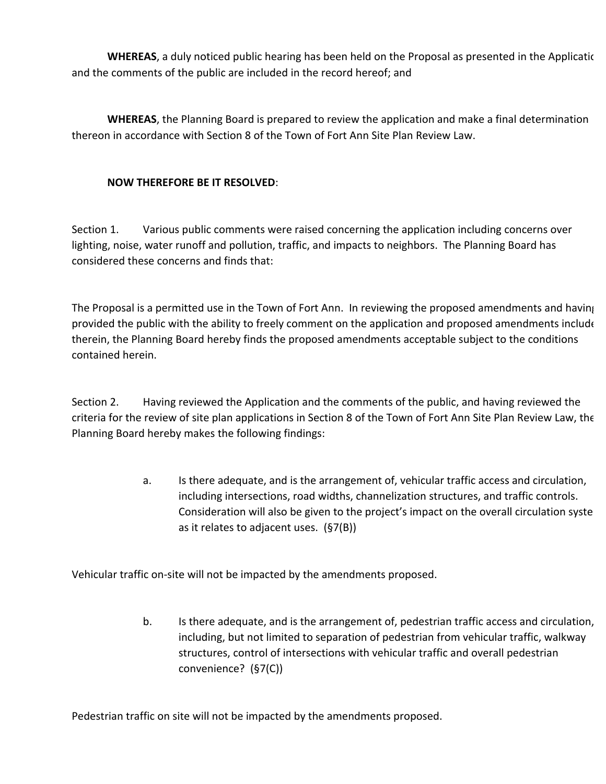**WHEREAS**, a duly noticed public hearing has been held on the Proposal as presented in the Applicatic and the comments of the public are included in the record hereof; and

**WHEREAS**, the Planning Board is prepared to review the application and make a final determination thereon in accordance with Section 8 of the Town of Fort Ann Site Plan Review Law.

# **NOW THEREFORE BE IT RESOLVED:**

Section 1. Various public comments were raised concerning the application including concerns over lighting, noise, water runoff and pollution, traffic, and impacts to neighbors. The Planning Board has considered these concerns and finds that:

The Proposal is a permitted use in the Town of Fort Ann. In reviewing the proposed amendments and having provided the public with the ability to freely comment on the application and proposed amendments include therein, the Planning Board hereby finds the proposed amendments acceptable subject to the conditions contained herein.

Section 2. Having reviewed the Application and the comments of the public, and having reviewed the criteria for the review of site plan applications in Section 8 of the Town of Fort Ann Site Plan Review Law, the Planning Board hereby makes the following findings:

> a. Is there adequate, and is the arrangement of, vehicular traffic access and circulation, including intersections, road widths, channelization structures, and traffic controls. Consideration will also be given to the project's impact on the overall circulation syste as it relates to adjacent uses.  $(S7(B))$

Vehicular traffic on-site will not be impacted by the amendments proposed.

b. Is there adequate, and is the arrangement of, pedestrian traffic access and circulation, including, but not limited to separation of pedestrian from vehicular traffic, walkway structures, control of intersections with vehicular traffic and overall pedestrian convenience? (§7(C))

Pedestrian traffic on site will not be impacted by the amendments proposed.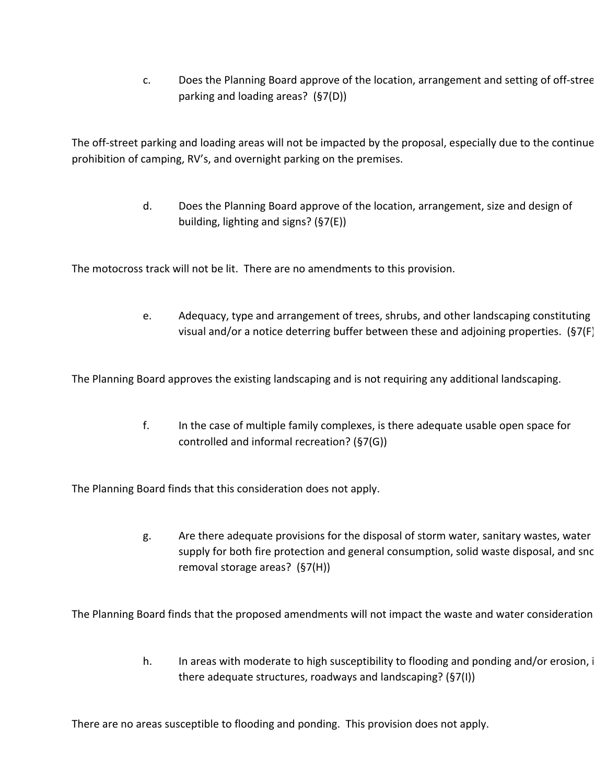c. Does the Planning Board approve of the location, arrangement and setting of off-stree parking and loading areas?  $(S7(D))$ 

The off-street parking and loading areas will not be impacted by the proposal, especially due to the continue prohibition of camping, RV's, and overnight parking on the premises.

> d. Does the Planning Board approve of the location, arrangement, size and design of building, lighting and signs?  $(S7(E))$

The motocross track will not be lit. There are no amendments to this provision.

e. Adequacy, type and arrangement of trees, shrubs, and other landscaping constituting visual and/or a notice deterring buffer between these and adjoining properties.  $(S7(F)$ 

The Planning Board approves the existing landscaping and is not requiring any additional landscaping.

f. In the case of multiple family complexes, is there adequate usable open space for controlled and informal recreation? (§7(G))

The Planning Board finds that this consideration does not apply.

g. Are there adequate provisions for the disposal of storm water, sanitary wastes, water supply for both fire protection and general consumption, solid waste disposal, and snc removal storage areas?  $(S7(H))$ 

The Planning Board finds that the proposed amendments will not impact the waste and water consideration

h. In areas with moderate to high susceptibility to flooding and ponding and/or erosion, i there adequate structures, roadways and landscaping?  $(S7(I))$ 

There are no areas susceptible to flooding and ponding. This provision does not apply.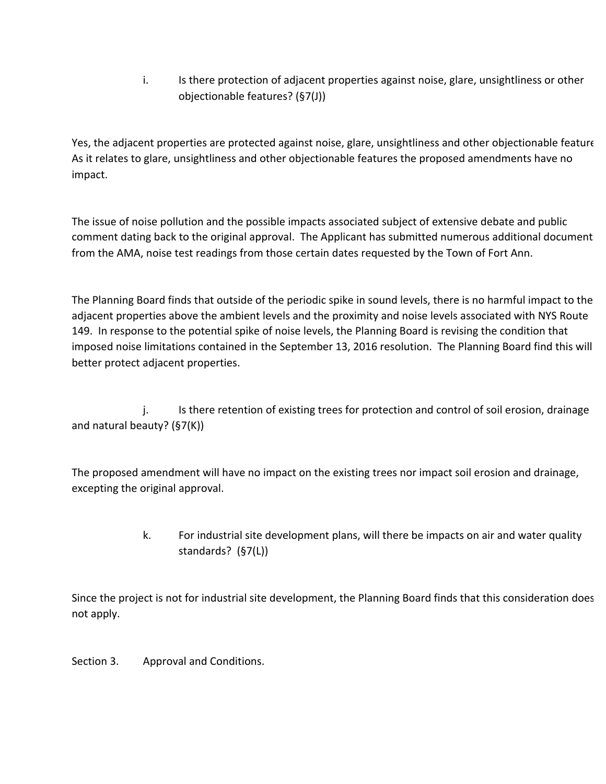i. Is there protection of adjacent properties against noise, glare, unsightliness or other objectionable features?  $(S7(J))$ 

Yes, the adjacent properties are protected against noise, glare, unsightliness and other objectionable feature As it relates to glare, unsightliness and other objectionable features the proposed amendments have no impact.

The issue of noise pollution and the possible impacts associated subject of extensive debate and public comment dating back to the original approval. The Applicant has submitted numerous additional document from the AMA, noise test readings from those certain dates requested by the Town of Fort Ann.

The Planning Board finds that outside of the periodic spike in sound levels, there is no harmful impact to the adjacent properties above the ambient levels and the proximity and noise levels associated with NYS Route 149. In response to the potential spike of noise levels, the Planning Board is revising the condition that imposed noise limitations contained in the September 13, 2016 resolution. The Planning Board find this will better protect adjacent properties.

j. Is there retention of existing trees for protection and control of soil erosion, drainage and natural beauty?  $(S7(K))$ 

The proposed amendment will have no impact on the existing trees nor impact soil erosion and drainage, excepting the original approval.

> k. For industrial site development plans, will there be impacts on air and water quality standards?  $(S7(L))$

Since the project is not for industrial site development, the Planning Board finds that this consideration does not apply.

Section 3. Approval and Conditions.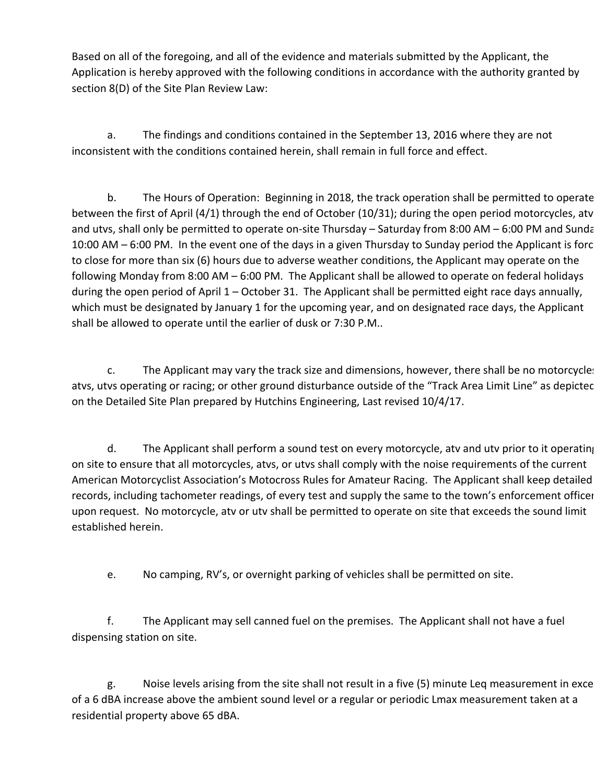Based on all of the foregoing, and all of the evidence and materials submitted by the Applicant, the Application is hereby approved with the following conditions in accordance with the authority granted by section 8(D) of the Site Plan Review Law:

a. The findings and conditions contained in the September 13, 2016 where they are not inconsistent with the conditions contained herein, shall remain in full force and effect.

b. The Hours of Operation: Beginning in 2018, the track operation shall be permitted to operate between the first of April  $(4/1)$  through the end of October  $(10/31)$ ; during the open period motorcycles, atv and utvs, shall only be permitted to operate on-site Thursday – Saturday from 8:00 AM – 6:00 PM and Sunda 10:00 AM – 6:00 PM. In the event one of the days in a given Thursday to Sunday period the Applicant is forc to close for more than six (6) hours due to adverse weather conditions, the Applicant may operate on the following Monday from 8:00 AM – 6:00 PM. The Applicant shall be allowed to operate on federal holidays during the open period of April  $1$  – October 31. The Applicant shall be permitted eight race days annually, which must be designated by January 1 for the upcoming year, and on designated race days, the Applicant shall be allowed to operate until the earlier of dusk or 7:30 P.M..

c. The Applicant may vary the track size and dimensions, however, there shall be no motorcycles atvs, utvs operating or racing; or other ground disturbance outside of the "Track Area Limit Line" as depictec on the Detailed Site Plan prepared by Hutchins Engineering, Last revised 10/4/17.

d. The Applicant shall perform a sound test on every motorcycle, atv and utv prior to it operating on site to ensure that all motorcycles, atvs, or utvs shall comply with the noise requirements of the current American Motorcyclist Association's Motocross Rules for Amateur Racing. The Applicant shall keep detailed records, including tachometer readings, of every test and supply the same to the town's enforcement officer upon request. No motorcycle, atv or utv shall be permitted to operate on site that exceeds the sound limit established herein.

e. No camping, RV's, or overnight parking of vehicles shall be permitted on site.

f. The Applicant may sell canned fuel on the premises. The Applicant shall not have a fuel dispensing station on site.

g. Noise levels arising from the site shall not result in a five (5) minute Leq measurement in exce of a 6 dBA increase above the ambient sound level or a regular or periodic Lmax measurement taken at a residential property above 65 dBA.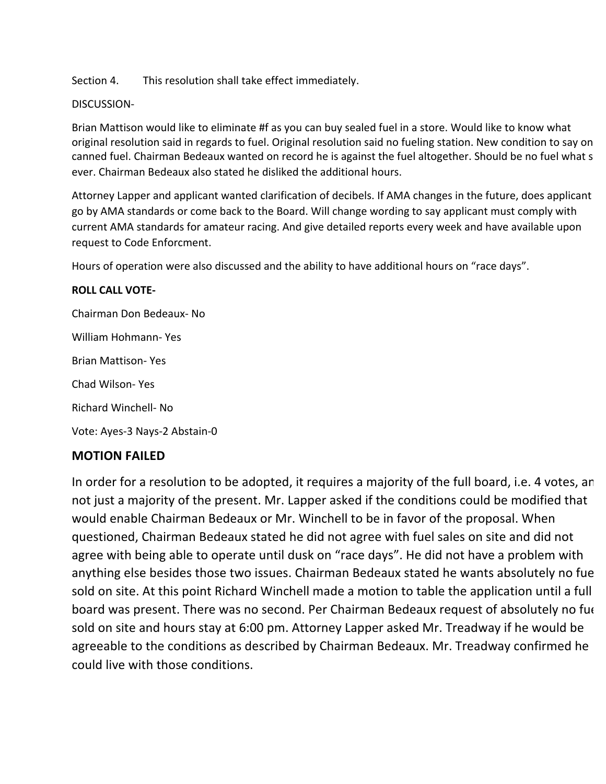Section 4. This resolution shall take effect immediately.

# DISCUSSION-

Brian Mattison would like to eliminate #f as you can buy sealed fuel in a store. Would like to know what original resolution said in regards to fuel. Original resolution said no fueling station. New condition to say on canned fuel. Chairman Bedeaux wanted on record he is against the fuel altogether. Should be no fuel what s ever. Chairman Bedeaux also stated he disliked the additional hours.

Attorney Lapper and applicant wanted clarification of decibels. If AMA changes in the future, does applicant go by AMA standards or come back to the Board. Will change wording to say applicant must comply with current AMA standards for amateur racing. And give detailed reports every week and have available upon request to Code Enforcment.

Hours of operation were also discussed and the ability to have additional hours on "race days".

# **ROLL CALL VOTE-**

Chairman Don Bedeaux- No William Hohmann- Yes Brian Mattison- Yes Chad Wilson- Yes Richard Winchell- No Vote: Ayes-3 Nays-2 Abstain-0

# **MOTION FAILED**

In order for a resolution to be adopted, it requires a majority of the full board, i.e. 4 votes, an not just a majority of the present. Mr. Lapper asked if the conditions could be modified that would enable Chairman Bedeaux or Mr. Winchell to be in favor of the proposal. When questioned, Chairman Bedeaux stated he did not agree with fuel sales on site and did not agree with being able to operate until dusk on "race days". He did not have a problem with anything else besides those two issues. Chairman Bedeaux stated he wants absolutely no fue sold on site. At this point Richard Winchell made a motion to table the application until a full board was present. There was no second. Per Chairman Bedeaux request of absolutely no fue sold on site and hours stay at 6:00 pm. Attorney Lapper asked Mr. Treadway if he would be agreeable to the conditions as described by Chairman Bedeaux. Mr. Treadway confirmed he could live with those conditions.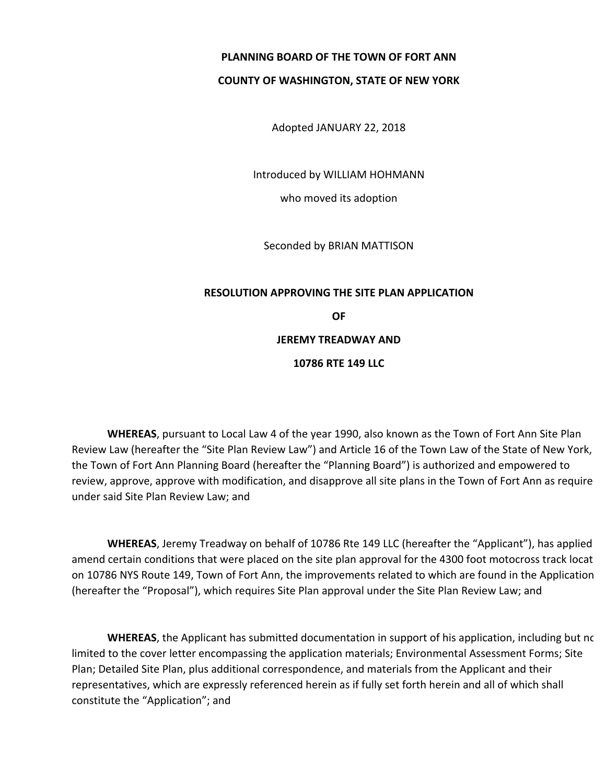# **PLANNING BOARD OF THE TOWN OF FORT ANN**

## **COUNTY OF WASHINGTON, STATE OF NEW YORK**

Adopted JANUARY 22, 2018

Introduced by WILLIAM HOHMANN

who moved its adoption

Seconded by BRIAN MATTISON

# **RESOLUTION APPROVING THE SITE PLAN APPLICATION OF JEREMY TREADWAY AND 10786 RTE 149 LLC**

**WHEREAS**, pursuant to Local Law 4 of the year 1990, also known as the Town of Fort Ann Site Plan Review Law (hereafter the "Site Plan Review Law") and Article 16 of the Town Law of the State of New York, the Town of Fort Ann Planning Board (hereafter the "Planning Board") is authorized and empowered to review, approve, approve with modification, and disapprove all site plans in the Town of Fort Ann as require under said Site Plan Review Law; and

**WHEREAS**, Jeremy Treadway on behalf of 10786 Rte 149 LLC (hereafter the "Applicant"), has applied amend certain conditions that were placed on the site plan approval for the 4300 foot motocross track locat on 10786 NYS Route 149, Town of Fort Ann, the improvements related to which are found in the Application (hereafter the "Proposal"), which requires Site Plan approval under the Site Plan Review Law; and

**WHEREAS**, the Applicant has submitted documentation in support of his application, including but no limited to the cover letter encompassing the application materials; Environmental Assessment Forms; Site Plan; Detailed Site Plan, plus additional correspondence, and materials from the Applicant and their representatives, which are expressly referenced herein as if fully set forth herein and all of which shall constitute the "Application"; and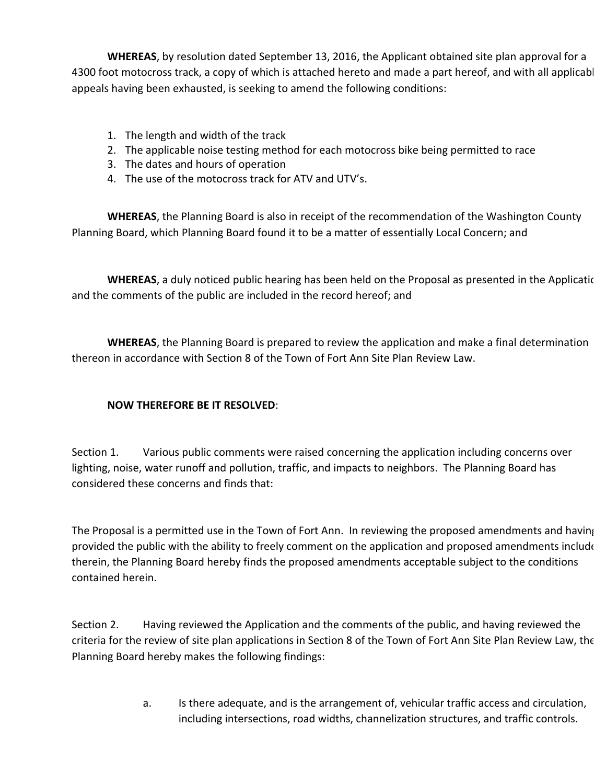**WHEREAS**, by resolution dated September 13, 2016, the Applicant obtained site plan approval for a 4300 foot motocross track, a copy of which is attached hereto and made a part hereof, and with all applicabl appeals having been exhausted, is seeking to amend the following conditions:

- 1. The length and width of the track
- 2. The applicable noise testing method for each motocross bike being permitted to race
- 3. The dates and hours of operation
- 4. The use of the motocross track for ATV and UTV's.

**WHEREAS**, the Planning Board is also in receipt of the recommendation of the Washington County Planning Board, which Planning Board found it to be a matter of essentially Local Concern; and

**WHEREAS**, a duly noticed public hearing has been held on the Proposal as presented in the Applicatic and the comments of the public are included in the record hereof; and

**WHEREAS**, the Planning Board is prepared to review the application and make a final determination thereon in accordance with Section 8 of the Town of Fort Ann Site Plan Review Law.

# **NOW THEREFORE BE IT RESOLVED:**

Section 1. Various public comments were raised concerning the application including concerns over lighting, noise, water runoff and pollution, traffic, and impacts to neighbors. The Planning Board has considered these concerns and finds that:

The Proposal is a permitted use in the Town of Fort Ann. In reviewing the proposed amendments and having provided the public with the ability to freely comment on the application and proposed amendments include therein, the Planning Board hereby finds the proposed amendments acceptable subject to the conditions contained herein.

Section 2. Having reviewed the Application and the comments of the public, and having reviewed the criteria for the review of site plan applications in Section 8 of the Town of Fort Ann Site Plan Review Law, the Planning Board hereby makes the following findings:

> a. Is there adequate, and is the arrangement of, vehicular traffic access and circulation, including intersections, road widths, channelization structures, and traffic controls.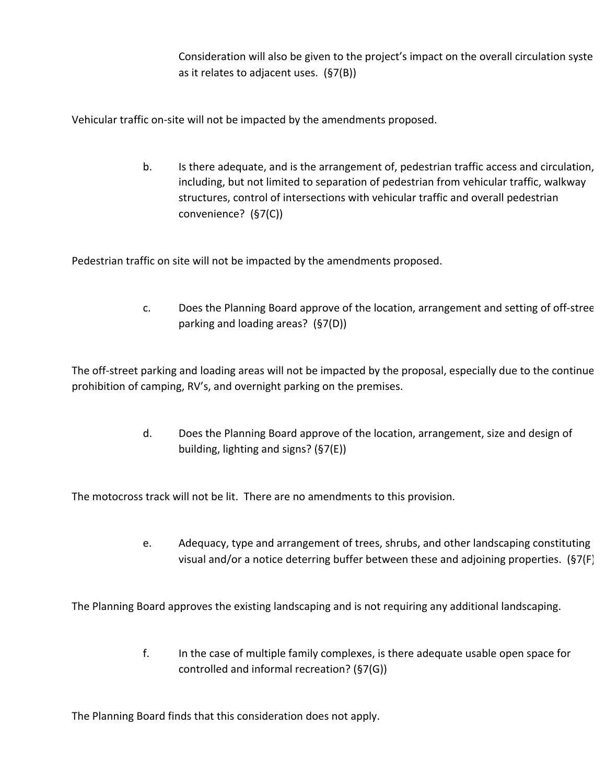Consideration will also be given to the project's impact on the overall circulation syste as it relates to adjacent uses.  $(S7(B))$ 

Vehicular traffic on-site will not be impacted by the amendments proposed.

b. Is there adequate, and is the arrangement of, pedestrian traffic access and circulation, including, but not limited to separation of pedestrian from vehicular traffic, walkway structures, control of intersections with vehicular traffic and overall pedestrian convenience? (§7(C))

Pedestrian traffic on site will not be impacted by the amendments proposed.

c. Does the Planning Board approve of the location, arrangement and setting of off-stree parking and loading areas?  $(S7(D))$ 

The off-street parking and loading areas will not be impacted by the proposal, especially due to the continue prohibition of camping, RV's, and overnight parking on the premises.

> d. Does the Planning Board approve of the location, arrangement, size and design of building, lighting and signs?  $(S7(E))$

The motocross track will not be lit. There are no amendments to this provision.

e. Adequacy, type and arrangement of trees, shrubs, and other landscaping constituting visual and/or a notice deterring buffer between these and adjoining properties.  $(S7(F)$ 

The Planning Board approves the existing landscaping and is not requiring any additional landscaping.

f. In the case of multiple family complexes, is there adequate usable open space for controlled and informal recreation? (§7(G))

The Planning Board finds that this consideration does not apply.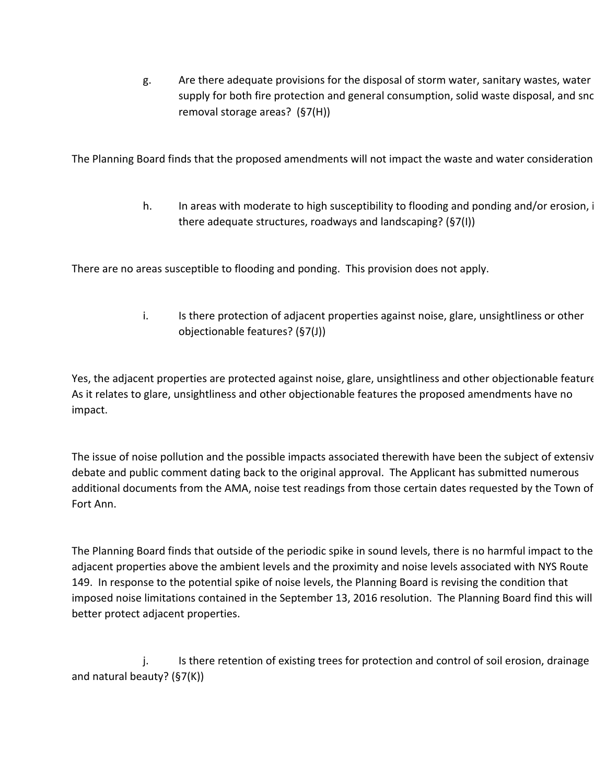g. Are there adequate provisions for the disposal of storm water, sanitary wastes, water supply for both fire protection and general consumption, solid waste disposal, and snow removal storage areas?  $(S7(H))$ 

The Planning Board finds that the proposed amendments will not impact the waste and water consideration

h. In areas with moderate to high susceptibility to flooding and ponding and/or erosion, i there adequate structures, roadways and landscaping?  $(S7(1))$ 

There are no areas susceptible to flooding and ponding. This provision does not apply.

i. Is there protection of adjacent properties against noise, glare, unsightliness or other objectionable features? (§7(J))

Yes, the adjacent properties are protected against noise, glare, unsightliness and other objectionable feature As it relates to glare, unsightliness and other objectionable features the proposed amendments have no impact.

The issue of noise pollution and the possible impacts associated therewith have been the subject of extensiv debate and public comment dating back to the original approval. The Applicant has submitted numerous additional documents from the AMA, noise test readings from those certain dates requested by the Town of Fort Ann.

The Planning Board finds that outside of the periodic spike in sound levels, there is no harmful impact to the adjacent properties above the ambient levels and the proximity and noise levels associated with NYS Route 149. In response to the potential spike of noise levels, the Planning Board is revising the condition that imposed noise limitations contained in the September 13, 2016 resolution. The Planning Board find this will better protect adjacent properties.

j. Is there retention of existing trees for protection and control of soil erosion, drainage and natural beauty?  $(S7(K))$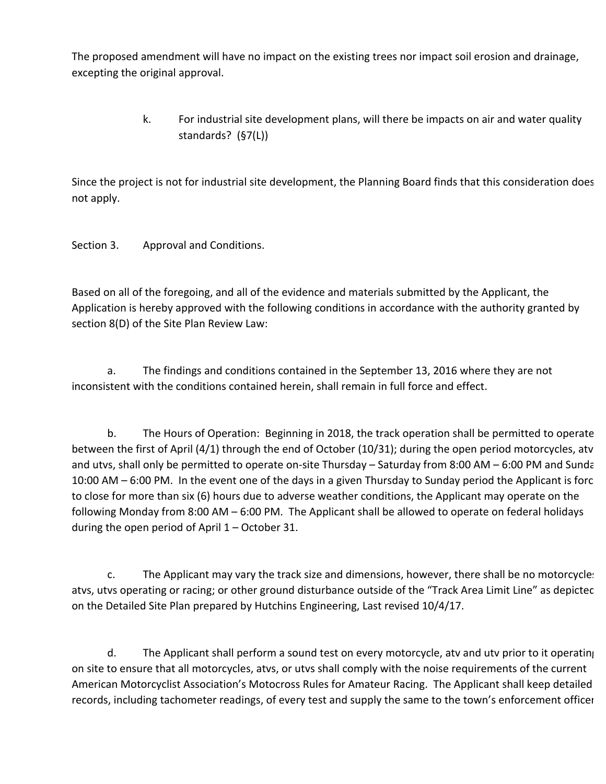The proposed amendment will have no impact on the existing trees nor impact soil erosion and drainage, excepting the original approval.

> k. For industrial site development plans, will there be impacts on air and water quality standards? (§7(L))

Since the project is not for industrial site development, the Planning Board finds that this consideration does not apply.

Section 3. Approval and Conditions.

Based on all of the foregoing, and all of the evidence and materials submitted by the Applicant, the Application is hereby approved with the following conditions in accordance with the authority granted by section 8(D) of the Site Plan Review Law:

a. The findings and conditions contained in the September 13, 2016 where they are not inconsistent with the conditions contained herein, shall remain in full force and effect.

b. The Hours of Operation: Beginning in 2018, the track operation shall be permitted to operate between the first of April  $(4/1)$  through the end of October  $(10/31)$ ; during the open period motorcycles, atv and utvs, shall only be permitted to operate on-site Thursday – Saturday from 8:00 AM – 6:00 PM and Sunda 10:00 AM - 6:00 PM. In the event one of the days in a given Thursday to Sunday period the Applicant is forc to close for more than six (6) hours due to adverse weather conditions, the Applicant may operate on the following Monday from 8:00 AM – 6:00 PM. The Applicant shall be allowed to operate on federal holidays during the open period of April  $1 -$  October 31.

c. The Applicant may vary the track size and dimensions, however, there shall be no motorcycles atvs, utvs operating or racing; or other ground disturbance outside of the "Track Area Limit Line" as depictec on the Detailed Site Plan prepared by Hutchins Engineering, Last revised 10/4/17.

d. The Applicant shall perform a sound test on every motorcycle, atv and utv prior to it operating on site to ensure that all motorcycles, atvs, or utvs shall comply with the noise requirements of the current American Motorcyclist Association's Motocross Rules for Amateur Racing. The Applicant shall keep detailed records, including tachometer readings, of every test and supply the same to the town's enforcement officer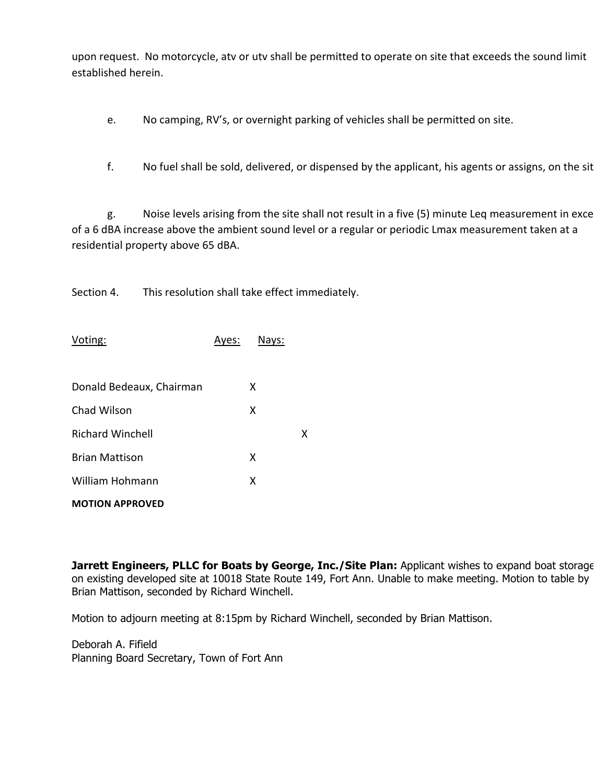upon request. No motorcycle, atv or utv shall be permitted to operate on site that exceeds the sound limit established herein.

- e. No camping, RV's, or overnight parking of vehicles shall be permitted on site.
- f. No fuel shall be sold, delivered, or dispensed by the applicant, his agents or assigns, on the sit

g. Noise levels arising from the site shall not result in a five (5) minute Leq measurement in exce of a 6 dBA increase above the ambient sound level or a regular or periodic Lmax measurement taken at a residential property above 65 dBA.

Section 4. This resolution shall take effect immediately.

| Voting:                  | Ayes: | Nays: |   |  |  |
|--------------------------|-------|-------|---|--|--|
| Donald Bedeaux, Chairman |       | x     |   |  |  |
| Chad Wilson              |       | x     |   |  |  |
| <b>Richard Winchell</b>  |       |       | x |  |  |
| <b>Brian Mattison</b>    |       | x     |   |  |  |
| <b>William Hohmann</b>   |       | X     |   |  |  |
| <b>MOTION APPROVED</b>   |       |       |   |  |  |

**Jarrett Engineers, PLLC for Boats by George, Inc./Site Plan: Applicant wishes to expand boat storage** on existing developed site at 10018 State Route 149, Fort Ann. Unable to make meeting. Motion to table by Brian Mattison, seconded by Richard Winchell.

Motion to adjourn meeting at 8:15pm by Richard Winchell, seconded by Brian Mattison.

Deborah A. Fifield Planning Board Secretary, Town of Fort Ann